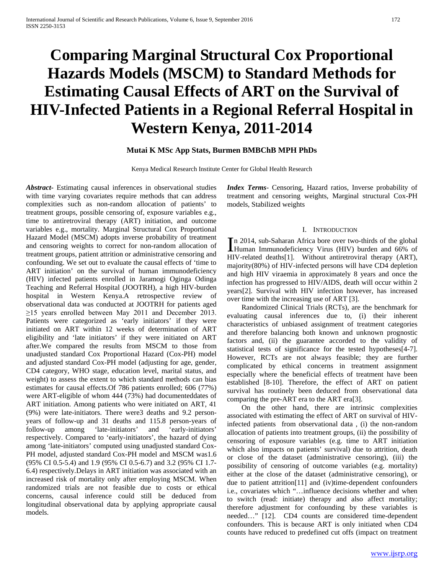# **Comparing Marginal Structural Cox Proportional Hazards Models (MSCM) to Standard Methods for Estimating Causal Effects of ART on the Survival of HIV-Infected Patients in a Regional Referral Hospital in Western Kenya, 2011-2014**

## **Mutai K MSc App Stats, Burmen BMBChB MPH PhDs**

Kenya Medical Research Institute Center for Global Health Research

*Abstract***-** Estimating causal inferences in observational studies with time varying covariates require methods that can address complexities such as non-random allocation of patients' to treatment groups, possible censoring of, exposure variables e.g., time to antiretroviral therapy (ART) initiation, and outcome variables e.g., mortality. Marginal Structural Cox Proportional Hazard Model (MSCM) adopts inverse probability of treatment and censoring weights to correct for non-random allocation of treatment groups, patient attrition or administrative censoring and confounding. We set out to evaluate the causal effects of 'time to ART initiation' on the survival of human immunodeficiency (HIV) infected patients enrolled in Jaramogi Oginga Odinga Teaching and Referral Hospital (JOOTRH), a high HIV-burden hospital in Western Kenya.A retrospective review of observational data was conducted at JOOTRH for patients aged ≥15 years enrolled between May 2011 and December 2013. Patients were categorized as 'early initiators' if they were initiated on ART within 12 weeks of determination of ART eligibility and 'late initiators' if they were initiated on ART after.We compared the results from MSCM to those from unadjusted standard Cox Proportional Hazard (Cox-PH) model and adjusted standard Cox-PH model (adjusting for age, gender, CD4 category, WHO stage, education level, marital status, and weight) to assess the extent to which standard methods can bias estimates for causal effects.Of 786 patients enrolled; 606 (77%) were ART-eligible of whom 444 (73%) had documenteddates of ART initiation. Among patients who were initiated on ART, 41 (9%) were late-initiators. There were3 deaths and 9.2 personyears of follow-up and 31 deaths and 115.8 person-years of follow-up among 'late-initiators' and 'early-initiators' respectively. Compared to 'early-initiators', the hazard of dying among 'late-initiators' computed using unadjusted standard Cox-PH model, adjusted standard Cox-PH model and MSCM was1.6 (95% CI 0.5-5.4) and 1.9 (95% CI 0.5-6.7) and 3.2 (95% CI 1.7- 6.4) respectively.Delays in ART initiation was associated with an increased risk of mortality only after employing MSCM. When randomized trials are not feasible due to costs or ethical concerns, causal inference could still be deduced from longitudinal observational data by applying appropriate causal models.

*Index Terms*- Censoring, Hazard ratios, Inverse probability of treatment and censoring weights, Marginal structural Cox-PH models, Stabilized weights

#### I. INTRODUCTION

n 2014, sub-Saharan Africa bore over two-thirds of the global In 2014, sub-Saharan Africa bore over two-thirds of the global<br>Human Immunodeficiency Virus (HIV) burden and 66% of HIV-related deaths[1]. Without antiretroviral therapy (ART), majority(80%) of HIV-infected persons will have CD4 depletion and high HIV viraemia in approximately 8 years and once the infection has progressed to HIV/AIDS, death will occur within 2 years[2]. Survival with HIV infection however, has increased over time with the increasing use of ART [3].

 Randomized Clinical Trials (RCTs), are the benchmark for evaluating causal inferences due to, (i) their inherent characteristics of unbiased assignment of treatment categories and therefore balancing both known and unknown prognostic factors and, (ii) the guarantee accorded to the validity of statistical tests of significance for the tested hypotheses[4-7]. However, RCTs are not always feasible; they are further complicated by ethical concerns in treatment assignment especially where the beneficial effects of treatment have been established [8-10]. Therefore, the effect of ART on patient survival has routinely been deduced from observational data comparing the pre-ART era to the ART era[3].

 On the other hand, there are intrinsic complexities associated with estimating the effect of ART on survival of HIVinfected patients from observational data , (i) the non-random allocation of patients into treatment groups, (ii) the possibility of censoring of exposure variables (e.g. time to ART initiation which also impacts on patients' survival) due to attrition, death or close of the dataset (administrative censoring), (iii) the possibility of censoring of outcome variables (e.g. mortality) either at the close of the dataset (administrative censoring), or due to patient attrition[11] and (iv)time-dependent confounders i.e., covariates which "…influence decisions whether and when to switch (read: initiate) therapy and also affect mortality; therefore adjustment for confounding by these variables is needed…" [12]. CD4 counts are considered time-dependent confounders. This is because ART is only initiated when CD4 counts have reduced to predefined cut offs (impact on treatment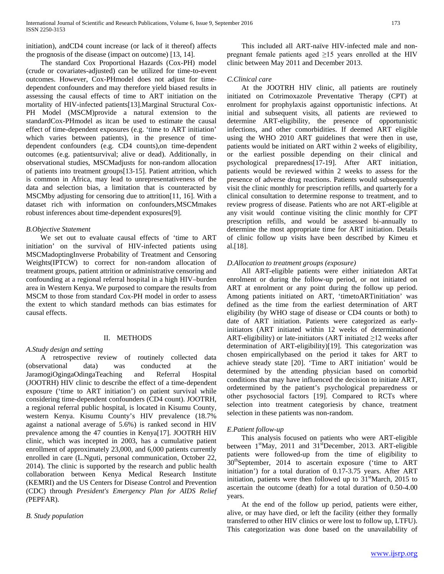initiation), andCD4 count increase (or lack of it thereof) affects the prognosis of the disease (impact on outcome) [13, 14].

 The standard Cox Proportional Hazards (Cox-PH) model (crude or covariates-adjusted) can be utilized for time-to-event outcomes. However, Cox-PHmodel does not adjust for timedependent confounders and may therefore yield biased results in assessing the causal effects of time to ART initiation on the mortality of HIV-infected patients[13].Marginal Structural Cox-PH Model (MSCM)provide a natural extension to the standardCox-PHmodel as itcan be used to estimate the causal effect of time-dependent exposures (e.g. 'time to ART initiation' which varies between patients), in the presence of timedependent confounders (e.g. CD4 counts),on time-dependent outcomes (e.g. patientsurvival; alive or dead). Additionally, in observational studies, MSCMadjusts for non-random allocation of patients into treatment groups[13-15]. Patient attrition, which is common in Africa, may lead to unrepresentativeness of the data and selection bias, a limitation that is counteracted by MSCMby adjusting for censoring due to attrition[11, 16]. With a dataset rich with information on confounders,MSCMmakes robust inferences about time-dependent exposures[9].

## *B.Objective Statement*

 We set out to evaluate causal effects of 'time to ART initiation' on the survival of HIV-infected patients using MSCMadoptingInverse Probability of Treatment and Censoring Weights(IPTCW) to correct for non-random allocation of treatment groups, patient attrition or administrative censoring and confounding at a regional referral hospital in a high HIV–burden area in Western Kenya. We purposed to compare the results from MSCM to those from standard Cox-PH model in order to assess the extent to which standard methods can bias estimates for causal effects.

## II. METHODS

## *A.Study design and setting*

 A retrospective review of routinely collected data (observational data) was conducted at the JaramogiOgingaOdingaTeaching and Referral Hospital (JOOTRH) HIV clinic to describe the effect of a time-dependent exposure ('time to ART initiation') on patient survival while considering time-dependent confounders (CD4 count). JOOTRH, a regional referral public hospital, is located in Kisumu County, western Kenya. Kisumu County's HIV prevalence (18.7% against a national average of 5.6%) is ranked second in HIV prevalence among the 47 counties in Kenya[17]. JOOTRH HIV clinic, which was incepted in 2003, has a cumulative patient enrollment of approximately 23,000, and 6,000 patients currently enrolled in care (L.Nguti, personal communication, October 22, 2014). The clinic is supported by the research and public health collaboration between Kenya Medical Research Institute (KEMRI) and the US Centers for Disease Control and Prevention (CDC) through *President's Emergency Plan for AIDS Relief (*PEPFAR).

## *B. Study population*

 This included all ART-naïve HIV-infected male and nonpregnant female patients aged ≥15 years enrolled at the HIV clinic between May 2011 and December 2013.

## *C.Clinical care*

 At the JOOTRH HIV clinic, all patients are routinely initiated on Cotrimoxazole Preventative Therapy (CPT) at enrolment for prophylaxis against opportunistic infections. At initial and subsequent visits, all patients are reviewed to determine ART-eligibility, the presence of opportunistic infections, and other comorbidities. If deemed ART eligible using the WHO 2010 ART guidelines that were then in use, patients would be initiated on ART within 2 weeks of eligibility, or the earliest possible depending on their clinical and psychological preparedness[17-19]. After ART initiation, patients would be reviewed within 2 weeks to assess for the presence of adverse drug reactions. Patients would subsequently visit the clinic monthly for prescription refills, and quarterly for a clinical consultation to determine response to treatment, and to review progress of disease. Patients who are not ART-eligible at any visit would continue visiting the clinic monthly for CPT prescription refills, and would be assessed bi-annually to determine the most appropriate time for ART initiation. Details of clinic follow up visits have been described by Kimeu et al.[18].

# *D.Allocation to treatment groups (exposure)*

 All ART-eligible patients were either initiatedon ARTat enrolment or during the follow-up period, or not initiated on ART at enrolment or any point during the follow up period. Among patients initiated on ART, 'timetoARTinitiation' was defined as the time from the earliest determination of ART eligibility (by WHO stage of disease or CD4 counts or both) to date of ART initiation. Patients were categorized as earlyinitiators (ART initiated within 12 weeks of determinationof ART-eligibility) or late-initiators (ART initiated  $\geq$ 12 weeks after determination of ART-eligibility)[19]. This categorization was chosen empiricallybased on the period it takes for ART to achieve steady state [20]. 'Time to ART initiation' would be determined by the attending physician based on comorbid conditions that may have influenced the decision to initiate ART, ordetermined by the patient's psychological preparedness or other psychosocial factors [19]. Compared to RCTs where selection into treatment categoriesis by chance, treatment selection in these patients was non-random.

## *E.Patient follow-up*

 This analysis focused on patients who were ART-eligible between 1<sup>st</sup>May, 2011 and 31<sup>st</sup>December, 2013. ART-eligible patients were followed-up from the time of eligibility to 30<sup>th</sup>September, 2014 to ascertain exposure ('time to ART initiation') for a total duration of 0.17-3.75 years. After ART initiation, patients were then followed up to  $31<sup>st</sup>$ March, 2015 to ascertain the outcome (death) for a total duration of 0.50-4.00 years.

 At the end of the follow up period, patients were either, alive, or may have died, or left the facility (either they formally transferred to other HIV clinics or were lost to follow up, LTFU). This categorization was done based on the unavailability of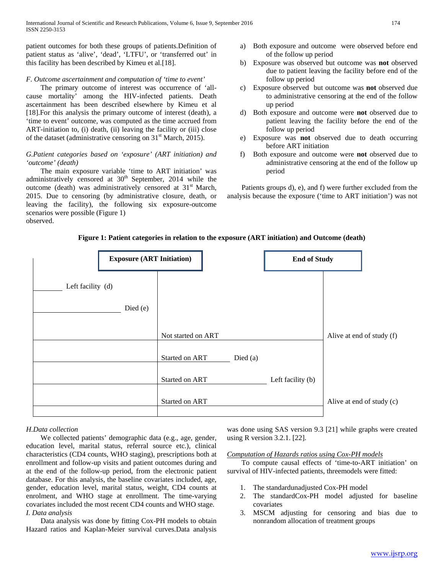patient outcomes for both these groups of patients.Definition of patient status as 'alive', 'dead', 'LTFU', or 'transferred out' in this facility has been described by Kimeu et al.[18].

#### *F. Outcome ascertainment and computation of 'time to event'*

 The primary outcome of interest was occurrence of 'allcause mortality' among the HIV-infected patients. Death ascertainment has been described elsewhere by Kimeu et al [18]. For this analysis the primary outcome of interest (death), a 'time to event' outcome, was computed as the time accrued from ART-initiation to, (i) death, (ii) leaving the facility or (iii) close of the dataset (administrative censoring on  $31<sup>st</sup>$  March, 2015).

## *G.Patient categories based on 'exposure' (ART initiation) and 'outcome' (death)*

 The main exposure variable 'time to ART initiation' was administratively censored at 30<sup>th</sup> September, 2014 while the outcome (death) was administratively censored at 31<sup>st</sup> March, 2015. Due to censoring (by administrative closure, death, or leaving the facility), the following six exposure-outcome scenarios were possible (Figure 1) observed.

- a) Both exposure and outcome were observed before end of the follow up period
- b) Exposure was observed but outcome was **not** observed due to patient leaving the facility before end of the follow up period
- c) Exposure observed but outcome was **not** observed due to administrative censoring at the end of the follow up period
- d) Both exposure and outcome were **not** observed due to patient leaving the facility before the end of the follow up period
- e) Exposure was **not** observed due to death occurring before ART initiation
- f) Both exposure and outcome were **not** observed due to administrative censoring at the end of the follow up period

 Patients groups d), e), and f) were further excluded from the analysis because the exposure ('time to ART initiation') was not



# **Figure 1: Patient categories in relation to the exposure (ART initiation) and Outcome (death)**

## *H.Data collection*

 We collected patients' demographic data (e.g., age, gender, education level, marital status, referral source etc.), clinical characteristics (CD4 counts, WHO staging), prescriptions both at enrollment and follow-up visits and patient outcomes during and at the end of the follow-up period, from the electronic patient database. For this analysis, the baseline covariates included, age, gender, education level, marital status, weight, CD4 counts at enrolment, and WHO stage at enrollment. The time-varying covariates included the most recent CD4 counts and WHO stage. *I. Data analysis*

 Data analysis was done by fitting Cox-PH models to obtain Hazard ratios and Kaplan-Meier survival curves.Data analysis was done using SAS version 9.3 [21] while graphs were created using R version 3.2.1. [22].

## *Computation of Hazards ratios using Cox-PH models*

 To compute causal effects of 'time-to-ART initiation' on survival of HIV-infected patients, threemodels were fitted:

- 1. The standardunadjusted Cox-PH model
- 2. The standardCox-PH model adjusted for baseline covariates
- 3. MSCM adjusting for censoring and bias due to nonrandom allocation of treatment groups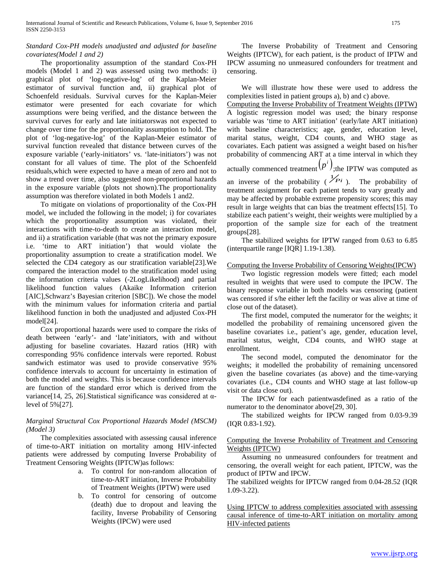## *Standard Cox-PH models unadjusted and adjusted for baseline covariates(Model 1 and 2)*

 The proportionality assumption of the standard Cox-PH models (Model 1 and 2) was assessed using two methods: i) graphical plot of 'log-negative-log' of the Kaplan-Meier estimator of survival function and, ii) graphical plot of Schoenfeld residuals. Survival curves for the Kaplan-Meier estimator were presented for each covariate for which assumptions were being verified, and the distance between the survival curves for early and late initiatorswas not expected to change over time for the proportionality assumption to hold. The plot of 'log-negative-log' of the Kaplan-Meier estimator of survival function revealed that distance between curves of the exposure variable ('early-initiators' vs. 'late-initiators') was not constant for all values of time. The plot of the Schoenfeld residuals,which were expected to have a mean of zero and not to show a trend over time, also suggested non-proportional hazards in the exposure variable (plots not shown).The proportionality assumption was therefore violated in both Models 1 and2.

 To mitigate on violations of proportionality of the Cox-PH model, we included the following in the model; i) for covariates which the proportionality assumption was violated, their interactions with time-to-death to create an interaction model, and ii) a stratification variable (that was not the primary exposure i.e. 'time to ART initiation') that would violate the proportionality assumption to create a stratification model. We selected the CD4 category as our stratification variable[23].We compared the interaction model to the stratification model using the information criteria values (-2LogLikelihood) and partial likelihood function values (Akaike Information criterion [AIC],Schwarz's Bayesian criterion [SBC]). We chose the model with the minimum values for information criteria and partial likelihood function in both the unadjusted and adjusted Cox-PH model[24].

 Cox proportional hazards were used to compare the risks of death between 'early'- and 'late'initiators, with and without adjusting for baseline covariates. Hazard ratios (HR) with corresponding 95% confidence intervals were reported. Robust sandwich estimator was used to provide conservative 95% confidence intervals to account for uncertainty in estimation of both the model and weights. This is because confidence intervals are function of the standard error which is derived from the variance<sup>[14, 25, 26].</sup>Statistical significance was considered at αlevel of 5%[27].

## *Marginal Structural Cox Proportional Hazards Model (MSCM) (Model 3)*

 The complexities associated with assessing causal inference of time-to-ART initiation on mortality among HIV-infected patients were addressed by computing Inverse Probability of Treatment Censoring Weights (IPTCW)as follows:

- a. To control for non-random allocation of time-to-ART initiation, Inverse Probability of Treatment Weights (IPTW) were used
- b. To control for censoring of outcome (death) due to dropout and leaving the facility, Inverse Probability of Censoring Weights (IPCW) were used

 The Inverse Probability of Treatment and Censoring Weights (IPTCW), for each patient, is the product of IPTW and IPCW assuming no unmeasured confounders for treatment and censoring.

 We will illustrate how these were used to address the complexities listed in patient groups a), b) and c) above.

Computing the Inverse Probability of Treatment Weights (IPTW) A logistic regression model was used; the binary response variable was 'time to ART initiation' (early/late ART initiation) with baseline characteristics; age, gender, education level, marital status, weight, CD4 counts, and WHO stage as covariates. Each patient was assigned a weight based on his/her probability of commencing ART at a time interval in which they

actually commenced treatment  $(p^i)$ , the IPTW was computed as an inverse of the probability  $\overline{P_i}$ ). The probability of

treatment assignment for each patient tends to vary greatly and may be affected by probable extreme propensity scores; this may result in large weights that can bias the treatment effects[15]. To stabilize each patient's weight, their weights were multiplied by a proportion of the sample size for each of the treatment groups[28].

 The stabilized weights for IPTW ranged from 0.63 to 6.85 (interquartile range [IQR] 1.19-1.38).

# Computing the Inverse Probability of Censoring Weights(IPCW)

 Two logistic regression models were fitted; each model resulted in weights that were used to compute the IPCW. The binary response variable in both models was censoring (patient was censored if s/he either left the facility or was alive at time of close out of the dataset).

 The first model, computed the numerator for the weights; it modelled the probability of remaining uncensored given the baseline covariates i.e., patient's age, gender, education level, marital status, weight, CD4 counts, and WHO stage at enrollment.

 The second model, computed the denominator for the weights; it modelled the probability of remaining uncensored given the baseline covariates (as above) and the time-varying covariates (i.e., CD4 counts and WHO stage at last follow-up visit or data close out).

 The IPCW for each patientwasdefined as a ratio of the numerator to the denominator above[29, 30].

 The stabilized weights for IPCW ranged from 0.03-9.39 (IQR 0.83-1.92).

## Computing the Inverse Probability of Treatment and Censoring Weights (IPTCW)

 Assuming no unmeasured confounders for treatment and censoring, the overall weight for each patient, IPTCW, was the product of IPTW and IPCW.

The stabilized weights for IPTCW ranged from 0.04-28.52 (IQR 1.09-3.22).

Using IPTCW to address complexities associated with assessing causal inference of time-to-ART initiation on mortality among HIV-infected patients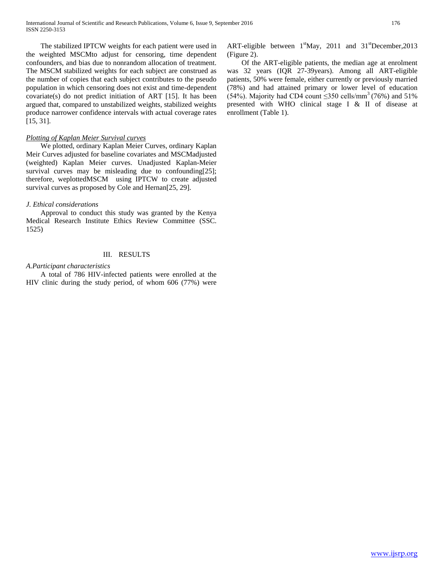The stabilized IPTCW weights for each patient were used in the weighted MSCMto adjust for censoring, time dependent confounders, and bias due to nonrandom allocation of treatment. The MSCM stabilized weights for each subject are construed as the number of copies that each subject contributes to the pseudo population in which censoring does not exist and time-dependent covariate(s) do not predict initiation of ART [15]. It has been argued that, compared to unstabilized weights, stabilized weights produce narrower confidence intervals with actual coverage rates [15, 31].

#### *Plotting of Kaplan Meier Survival curves*

 We plotted, ordinary Kaplan Meier Curves, ordinary Kaplan Meir Curves adjusted for baseline covariates and MSCMadjusted (weighted) Kaplan Meier curves. Unadjusted Kaplan-Meier survival curves may be misleading due to confounding[25]; therefore, weplottedMSCM using IPTCW to create adjusted survival curves as proposed by Cole and Hernan[25, 29].

#### *J. Ethical considerations*

 Approval to conduct this study was granted by the Kenya Medical Research Institute Ethics Review Committee (SSC. 1525)

#### III. RESULTS

#### *A.Participant characteristics*

 A total of 786 HIV-infected patients were enrolled at the HIV clinic during the study period, of whom 606 (77%) were ART-eligible between  $1<sup>st</sup>$ May, 2011 and  $31<sup>st</sup>$ December, 2013 (Figure 2).

 Of the ART-eligible patients, the median age at enrolment was 32 years (IQR 27-39years). Among all ART-eligible patients, 50% were female, either currently or previously married (78%) and had attained primary or lower level of education (54%). Majority had CD4 count  $\leq$ 350 cells/mm<sup>3</sup> (76%) and 51% presented with WHO clinical stage I & II of disease at enrollment (Table 1).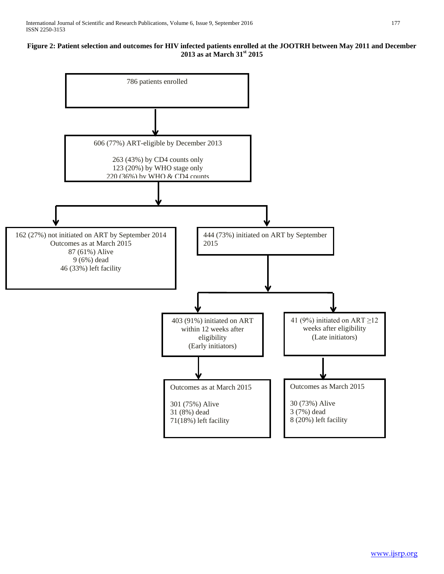# **Figure 2: Patient selection and outcomes for HIV infected patients enrolled at the JOOTRH between May 2011 and December 2013 as at March 31st 2015**

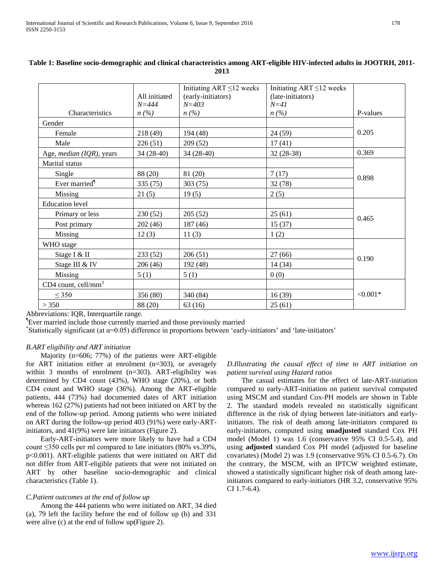|                                 |               | Initiating $ART \leq 12$ weeks | Initiating ART $\leq$ 12 weeks |            |  |
|---------------------------------|---------------|--------------------------------|--------------------------------|------------|--|
|                                 | All initiated | (early-initiators)             | (late-initiators)              |            |  |
|                                 | $N = 444$     | $N = 403$                      | $N=41$                         |            |  |
| Characteristics                 | $n(\%)$       | n(%)                           | $n(\%)$                        | P-values   |  |
| Gender                          |               |                                |                                |            |  |
| Female                          | 218 (49)      | 194 (48)                       | 24(59)                         | 0.205      |  |
| Male                            | 226(51)       | 209 (52)                       | 17(41)                         |            |  |
| Age, <i>median</i> (IQR), years | $34(28-40)$   | 34 (28-40)                     | $32(28-38)$                    | 0.369      |  |
| <b>Marital</b> status           |               |                                |                                |            |  |
| Single                          | 88 (20)       | 81 (20)                        | 7(17)                          | 0.898      |  |
| Ever married <sup>1</sup>       | 335(75)       | 303(75)                        | 32(78)                         |            |  |
| Missing                         | 21(5)         | 19(5)                          | 2(5)                           |            |  |
| <b>Education</b> level          |               |                                |                                |            |  |
| Primary or less                 | 230 (52)      | 205(52)                        | 25(61)                         | 0.465      |  |
| Post primary                    | 202(46)       | 187(46)                        | 15(37)                         |            |  |
| Missing                         | 12(3)         | 11(3)                          | 1(2)                           |            |  |
| WHO stage                       |               |                                |                                |            |  |
| Stage I & II                    | 233 (52)      | 206(51)                        | 27(66)                         | 0.190      |  |
| Stage III & IV                  | 206 (46)      | 192 (48)                       | 14 (34)                        |            |  |
| Missing                         | 5(1)          | 5(1)                           | 0(0)                           |            |  |
| CD4 count, cell/mm <sup>3</sup> |               |                                |                                |            |  |
| $\leq$ 350                      | 356 (80)      | 340 (84)                       | 16(39)                         | $< 0.001*$ |  |
| > 350                           | 88 (20)       | 63(16)                         | 25(61)                         |            |  |

**Table 1: Baseline socio-demographic and clinical characteristics among ART-eligible HIV-infected adults in JOOTRH, 2011- 2013**

Abbreviations: IQR, Interquartile range.

¶ Ever married include those currently married and those previously married

\* Statistically significant (at α=0.05) difference in proportions between 'early-initiators' and 'late-initiators'

## *B.ART eligibility and ART initiation*

 Majority (n=606; 77%) of the patients were ART-eligible for ART initiation either at enrolment (n=303), or averagely within 3 months of enrolment (n=303). ART-eligibility was determined by CD4 count (43%), WHO stage (20%), or both CD4 count and WHO stage (36%). Among the ART-eligible patients, 444 (73%) had documented dates of ART initiation whereas 162 (27%) patients had not been initiated on ART by the end of the follow-up period. Among patients who were initiated on ART during the follow-up period 403 (91%) were early-ARTinitiators, and 41(9%) were late initiators (Figure 2).

 Early-ART-initiators were more likely to have had a CD4 count ≤350 cells per ml compared to late initiators (80% vs.39%, p<0.001). ART-eligible patients that were initiated on ART did not differ from ART-eligible patients that were not initiated on ART by other baseline socio-demographic and clinical characteristics (Table 1).

#### *C.Patient outcomes at the end of follow up*

 Among the 444 patients who were initiated on ART, 34 died (a), 79 left the facility before the end of follow up (b) and 331 were alive (c) at the end of follow up(Figure 2).

*D.Illustrating the causal effect of time to ART initiation on patient survival using Hazard ratios*

 The casual estimates for the effect of late-ART-initiation compared to early-ART-initiation on patient survival computed using MSCM and standard Cox-PH models are shown in Table 2. The standard models revealed no statistically significant difference in the risk of dying between late-initiators and earlyinitiators. The risk of death among late-initiators compared to early-initiators, computed using **unadjusted** standard Cox PH model (Model 1) was 1.6 (conservative 95% CI 0.5-5.4), and using **adjusted** standard Cox PH model (adjusted for baseline covariates) (Model 2) was 1.9 (conservative 95% CI 0.5-6.7). On the contrary, the MSCM, with an IPTCW weighted estimate, showed a statistically significant higher risk of death among lateinitiators compared to early-initiators (HR 3.2, conservative 95% CI 1.7-6.4).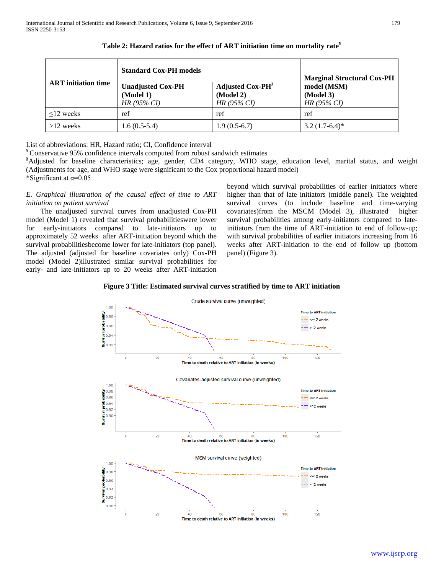| <b>ART</b> initiation time | <b>Standard Cox-PH models</b>                          | <b>Marginal Structural Cox-PH</b>                                 |                                           |
|----------------------------|--------------------------------------------------------|-------------------------------------------------------------------|-------------------------------------------|
|                            | <b>Unadjusted Cox-PH</b><br>(Model 1)<br>$HR(95\% CI)$ | <b>Adjusted Cox-PH</b> <sup>§</sup><br>(Model 2)<br>$HR(95\% CI)$ | model (MSM)<br>(Model 3)<br>$HR(95\% CI)$ |
| $\leq$ 12 weeks            | ref                                                    | ref                                                               | ref                                       |
| $>12$ weeks                | $1.6(0.5-5.4)$                                         | $1.9(0.5-6.7)$                                                    | $3.2(1.7-6.4)$ *                          |

| Table 2: Hazard ratios for the effect of ART initiation time on mortality rate <sup><math>\mathbf{F}</math></sup> |  |  |  |
|-------------------------------------------------------------------------------------------------------------------|--|--|--|
|-------------------------------------------------------------------------------------------------------------------|--|--|--|

List of abbreviations: HR, Hazard ratio; CI, Confidence interval

¥ Conservative 95% confidence intervals computed from robust sandwich estimates

§ Adjusted for baseline characteristics; age, gender, CD4 category, WHO stage, education level, marital status, and weight (Adjustments for age, and WHO stage were significant to the Cox proportional hazard model) \*Significant at  $\alpha$ =0.05

## *E. Graphical illustration of the causal effect of time to ART initiation on patient survival*

 The unadjusted survival curves from unadjusted Cox-PH model (Model 1) revealed that survival probabilitieswere lower for early-initiators compared to late-initiators up to approximately 52 weeks after ART-initiation beyond which the survival probabilitiesbecome lower for late-initiators (top panel). The adjusted (adjusted for baseline covariates only) Cox-PH model (Model 2)illustrated similar survival probabilities for early- and late-initiators up to 20 weeks after ART-initiation

beyond which survival probabilities of earlier initiators where higher than that of late initiators (middle panel). The weighted survival curves (to include baseline and time-varying covariates)from the MSCM (Model 3), illustrated higher survival probabilities among early-initiators compared to lateinitiators from the time of ART-initiation to end of follow-up; with survival probabilities of earlier initiators increasing from 16 weeks after ART-initiation to the end of follow up (bottom panel) (Figure 3).



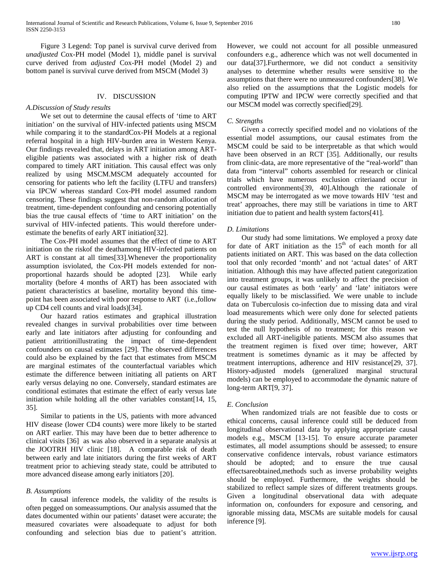Figure 3 Legend: Top panel is survival curve derived from *unadjusted* Cox-PH model (Model 1), middle panel is survival curve derived from *adjusted* Cox-PH model (Model 2) and bottom panel is survival curve derived from MSCM (Model 3)

#### IV. DISCUSSION

#### *A.Discussion of Study results*

 We set out to determine the causal effects of 'time to ART initiation' on the survival of HIV-infected patients using MSCM while comparing it to the standardCox-PH Models at a regional referral hospital in a high HIV-burden area in Western Kenya. Our findings revealed that, delays in ART initiation among ARTeligible patients was associated with a higher risk of death compared to timely ART initiation. This causal effect was only realized by using MSCM.MSCM adequately accounted for censoring for patients who left the facility (LTFU and transfers) via IPCW whereas standard Cox-PH model assumed random censoring. These findings suggest that non-random allocation of treatment, time-dependent confounding and censoring potentially bias the true causal effects of 'time to ART initiation' on the survival of HIV-infected patients. This would therefore underestimate the benefits of early ART initiation[32].

 The Cox-PH model assumes that the effect of time to ART initiation on the riskof the deathamong HIV-infected patients on ART is constant at all times[33].Whenever the proportionality assumption isviolated, the Cox-PH models extended for nonproportional hazards should be adopted [23]. While early mortality (before 4 months of ART) has been associated with patient characteristics at baseline, mortality beyond this timepoint has been associated with poor response to ART (i.e.,follow up CD4 cell counts and viral loads)[34].

 Our hazard ratios estimates and graphical illustration revealed changes in survival probabilities over time between early and late initiators after adjusting for confounding and patient attritionillustrating the impact of time-dependent confounders on causal estimates [29]. The observed differences could also be explained by the fact that estimates from MSCM are marginal estimates of the counterfactual variables which estimate the difference between initiating all patients on ART early versus delaying no one. Conversely, standard estimates are conditional estimates that estimate the effect of early versus late initiation while holding all the other variables constant [14, 15, 35].

 Similar to patients in the US, patients with more advanced HIV disease (lower CD4 counts) were more likely to be started on ART earlier. This may have been due to better adherence to clinical visits [36] as was also observed in a separate analysis at the JOOTRH HIV clinic [18]. A comparable risk of death between early and late initiators during the first weeks of ART treatment prior to achieving steady state, could be attributed to more advanced disease among early initiators [20].

## *B. Assumptions*

 In causal inference models, the validity of the results is often pegged on someassumptions. Our analysis assumed that the dates documented within our patients' dataset were accurate; the measured covariates were alsoadequate to adjust for both confounding and selection bias due to patient's attrition.

However, we could not account for all possible unmeasured confounders e.g., adherence which was not well documented in our data[37].Furthermore, we did not conduct a sensitivity analyses to determine whether results were sensitive to the assumptions that there were no unmeasured confounders[38]. We also relied on the assumptions that the Logistic models for computing IPTW and IPCW were correctly specified and that our MSCM model was correctly specified[29].

#### *C. Strengths*

 Given a correctly specified model and no violations of the essential model assumptions, our causal estimates from the MSCM could be said to be interpretable as that which would have been observed in an RCT [35]. Additionally, our results from clinic-data, are more representative of the "real-world" than data from "interval" cohorts assembled for research or clinical trials which have numerous exclusion criteriaand occur in controlled environments[39, 40].Although the rationale of MSCM may be interrogated as we move towards HIV 'test and treat' approaches, there may still be variations in time to ART initiation due to patient and health system factors[41].

#### *D. Limitations*

 Our study had some limitations. We employed a proxy date for date of ART initiation as the  $15<sup>th</sup>$  of each month for all patients initiated on ART. This was based on the data collection tool that only recorded 'month' and not 'actual dates' of ART initiation. Although this may have affected patient categorization into treatment groups, it was unlikely to affect the precision of our causal estimates as both 'early' and 'late' initiators were equally likely to be misclassified. We were unable to include data on Tuberculosis co-infection due to missing data and viral load measurements which were only done for selected patients during the study period. Additionally, MSCM cannot be used to test the null hypothesis of no treatment; for this reason we excluded all ART-ineligible patients. MSCM also assumes that the treatment regimen is fixed over time; however, ART treatment is sometimes dynamic as it may be affected by treatment interruptions, adherence and HIV resistance[29, 37]. History-adjusted models (generalized marginal structural models) can be employed to accommodate the dynamic nature of long-term ART[9, 37].

## *E. Conclusion*

 When randomized trials are not feasible due to costs or ethical concerns, causal inference could still be deduced from longitudinal observational data by applying appropriate causal models e.g., MSCM [13-15]. To ensure accurate parameter estimates, all model assumptions should be assessed; to ensure conservative confidence intervals, robust variance estimators should be adopted; and to ensure the true causal effectsareobtained,methods such as inverse probability weights should be employed. Furthermore, the weights should be stabilized to reflect sample sizes of different treatments groups. Given a longitudinal observational data with adequate information on, confounders for exposure and censoring, and ignorable missing data, MSCMs are suitable models for causal inference [9].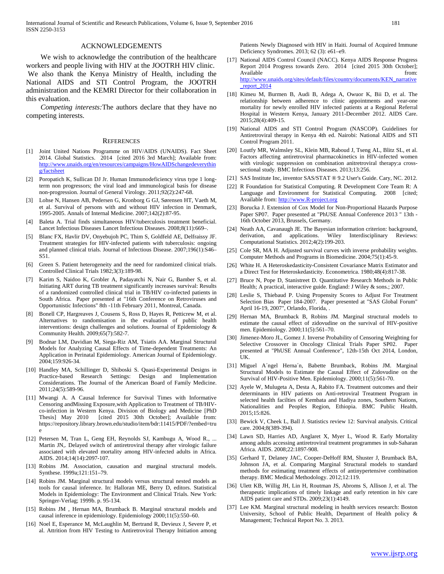#### ACKNOWLEDGEMENTS

 We wish to acknowledge the contribution of the healthcare workers and people living with HIV at the JOOTRH HIV clinic. We also thank the Kenya Ministry of Health, including the National AIDS and STI Control Program, the JOOTRH administration and the KEMRI Director for their collaboration in this evaluation.

 *Competing interests:*The authors declare that they have no competing interests.

#### **REFERENCES**

- [1] Joint United Nations Programme on HIV/AIDS (UNAIDS). Fact Sheet 2014. Global Statistics. 2014 [cited 2016 3rd March]; Available from: [http://www.unaids.org/en/resources/campaigns/HowAIDSchangedeverythin](http://www.unaids.org/en/resources/campaigns/HowAIDSchangedeverything/factsheet) [g/factsheet](http://www.unaids.org/en/resources/campaigns/HowAIDSchangedeverything/factsheet)
- [2] Poropatich K, Sullican DJ Jr. Human Immunodeficiency virus type 1 longterm non progressors; the viral load and immunological basis for disease non-progression. Journal of General Virology. 2011;92(2):247-68.
- [3] Lohse N, Hansen AB, Pedersen G, Kronborg G GJ, Sørensen HT, Vaeth M, et al. Survival of persons with and without HIV infection in Denmark, 1995-2005. Annals of Internal Medicine. 2007;142(2):87-95.
- [4] Baleta A. Trial finds simultaneous HIV/tuberculosis treatment beneficial. Lancet Infectious Diseases Lancet Infectious Diseases. 2008;8(11):669–.
- [5] Blanc FX, Havlir DV, Onyebujoh PC, Thim S, Goldfeld AE, Delfraissy JF. Treatment strategies for HIV-infected patients with tuberculosis: ongoing and planned clinical trials. Journal of Infectious Disease. 2007;196(1):S46– S51.
- [6] Green S. Patient heterogeneity and the need for randomized clinical trials. Controlled Clinical Trials 1982;3(3):189-98.
- [7] Karim S, Naidoo K, Grobler A, Padayatchi N, Nair G, Bamber S, et al. Initiating ART during TB treatment significantly increases survival: Results of a randomized controlled clinical trial in TB/HIV co-infected patients in South Africa. Paper presented at "16th Conference on Retroviruses and Opportunistic Infections" 8th -11th February 2011, Montreal, Canada.
- [8] Bonell CP, Hargreaves J, Cousens S, Ross D, Hayes R, Petticrew M, et al. Alternatives to randomisation in the evaluation of public health interventions: design challenges and solutions. Journal of Epidemiology & Community Health. 2009;65(7):582-7.
- [9] Bodnar LM, Davidian M, Siega-Riz AM, Tsiatis AA. Marginal Structural Models for Analyzing Causal Effects of Time-dependent Treatments: An Application in Perinatal Epidemiology. American Journal of Epidemiology. 2004;159:926-34.
- [10] Handley MA, Schillinger D, Shiboski S. Quasi-Experimental Designs in Practice-based Research Settings: Design and Implementation Considerations. The Journal of the American Board of Family Medicine. 2011;24(5):589-96.
- [11] Mwangi A. A Causal Inference for Survival Times with Informative Censoring andMissing Exposure,with Application to Treatment of TB/HIVco-infection in Western Kenya. Division of Biology and Medicine [PhD<br>Thesis] May 2010 [cited 2015 30th October]; Available from: [cited 2015 30th October]; Available from: https://repository.library.brown.edu/studio/item/bdr:11415/PDF/?embed=tru e
- [12] Petersen M, Tran L, Geng EH, Reynolds SJ, Kambugu A, Wood R., ... Martin JN,. Delayed switch of antiretroviral therapy after virologic failure associated with elevated mortality among HIV-infected adults in Africa. AIDS. 2014;14(14):2097-107.
- [13] Robins JM. Association, causation and marginal structural models. Synthese. 1999a;121:151–79.
- [14] Robins JM. Marginal structural models versus structural nested models as tools for causal inference. In: Halloran ME, Berry D, editors. Statistical Models in Epidemiology: The Environment and Clinical Trials. New York: Springer-Verlag; 1999b. p. 95-134.
- [15] Robins JM, Hernan MA, Brumback B. Marginal structural models and causal inference in epidemiology. Epidemiology 2000;11(5):550–60.
- [16] Noel E, Esperance M, McLaughlin M, Bertrand R, Devieux J, Severe P, et al. Attrition from HIV Testing to Antiretroviral Therapy Initiation among

Patients Newly Diagnosed with HIV in Haiti. Journal of Acquired Immune Deficiency Syndromes. 2013; 62 (3): e61–e9.

- [17] National AIDS Control Council (NACC). Kenya AIDS Response Progress Report 2014 Progress towards Zero. 2014 [cited 2015 30th October]; Available from: [http://www.unaids.org/sites/default/files/country/documents/KEN\\_narrative](http://www.unaids.org/sites/default/files/country/documents/KEN_narrative_report_2014) [\\_report\\_2014](http://www.unaids.org/sites/default/files/country/documents/KEN_narrative_report_2014)
- [18] Kimeu M, Burmen B, Audi B, Adega A, Owuor K, Bii D, et al. The relationship between adherence to clinic appointments and year-one mortality for newly enrolled HIV infected patients at a Regional Referral Hospital in Western Kenya, January 2011-December 2012. AIDS Care. 2015;28(4):409-15.
- [19] National AIDS and STI Control Program (NASCOP). Guidelines for Antiretroviral therapy in Kenya 4th ed. Nairobi: National AIDS and STI Control Program 2011.
- [20] Loutfy MR, Walmsley SL, Klein MB, Raboud J, Tseng AL, Blitz SL, et al. Factors affecting antiretroviral pharmacokinetics in HIV-infected women with virologic suppression on combination anitretroviral therapy: a crosssectional study. BMC Infectious Diseases. 2013;13:256.
- [21] SAS Institute Inc, inventor SAS/STAT ® 9.2 User's Guide. Cary, NC. 2012.
- [22] R Foundation for Statistical Computing. R Development Core Team R: A Language and Environment for Statistical Computing. 2008 [cited; Available from[: http://www.R-project.org](http://www.r-project.org/)
- [23] Borucka J. Extension of Cox Model for Non-Proportional Hazards Purpose Paper SP07. Paper presented at "PhUSE Annual Conference 2013 " 13th - 16th October 2013, Brussels, Germany.
- [24] Neath AA, Cavanaugh JE. The Bayesian information criterion: background, derivation, and applications. Wiley Interdisciplinary Reviews: Computational Statistics. 2012;4(2):199-203.
- [25] Cole SR, MA H. Adjusted survival curves with inverse probability weights. Computer Methods and Programs in Biomedicine. 2004;75(1):45-9.
- [26] White H. A Heteroskedasticity-Consistent Covariance Matrix Estimator and a Direct Test for Heteroskedasticity. Econometrica. 1980;48(4):817-38.
- [27] Bruce N, Pope D, Stanistreet D. Quantitative Research Methods in Public Health; A practical, interactive guide. England: J Wiley & sons.; 2007.
- [28] Leslie S, Thiebaud P. Using Propensity Scores to Adjust For Treatment Selection Bias Paper 184-2007. Paper presented at "SAS Global Forum" April 16-19, 2007", Orlando, Florida, .
- [29] Hernan MA, Brumback B, Robins JM. Marginal structural models to estimate the causal effect of zidovudine on the survival of HIV-positive men. Epidemiology. 2000;11(5):561–70.
- [30] Jimenez-Moro JL, Gomez J. Inverse Probability of Censoring Weighting for Selective Crossover in Oncology Clinical Trials Paper SP02. Paper presented at "PhUSE Annual Conference", 12th-15th Oct 2014, London, UK.
- [31] Miguel A´ngel Herna´n, Babette Brumback, Robins JM. Marginal Structural Models to Estimate the Causal Effect of Zidovudine on the Survival of HIV-Positive Men. Epidemiology. 2000;11(5):561-70.
- [32] Ayele W, Mulugeta A, Desta A, Rabito FA. Treatment outcomes and their determinants in HIV patients on Anti-retroviral Treatment Program in selected health facilties of Kembata and Hadiya zones, Southern Nations, Nationalities and Peoples Region, Ethiopia. BMC Public Health. 2015;15:826.
- [33] Bewick V, Cheek L, Ball J. Statistics review 12: Survival analysis. Critical care. 2004;8(389-394).
- [34] Lawn SD, Harries AD, Anglaret X, Myer L, Wood R. Early Mortality among adults accessing antiretroviral treatment programmes in sub-Saharan Africa. AIDS. 2008;22:1897-908.
- [35] Gerhard T, Delaney JAC, Cooper-DeHoff RM, Shuster J, Brumback BA, Johnson JA, et al. Comparing Marginal Structural models to standard methods for estimating treatment effects of antinypertensive combination therapy. BMC Medical Methodology. 2012;12:119.
- [36] Ulett KB, Willig JH, Lin H, Routman JS, Abroms S, Allison J, et al. The therapeutic implications of timely linkage and early retention in hiv care AIDS patient care and STDs. 2009;23(1):4149.
- [37] Lee KM. Marginal structural modeling in health services research: Boston University, School of Public Health, Department of Health policy & Management; Technical Report No. 3. 2013.